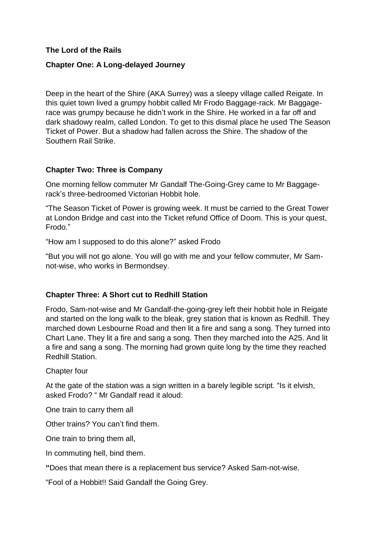# **The Lord of the Rails**

# **Chapter One: A Long-delayed Journey**

Deep in the heart of the Shire (AKA Surrey) was a sleepy village called Reigate. In this quiet town lived a grumpy hobbit called Mr Frodo Baggage-rack. Mr Baggagerace was grumpy because he didn't work in the Shire. He worked in a far off and dark shadowy realm, called London. To get to this dismal place he used The Season Ticket of Power. But a shadow had fallen across the Shire. The shadow of the Southern Rail Strike.

#### **Chapter Two: Three is Company**

One morning fellow commuter Mr Gandalf The-Going-Grey came to Mr Baggagerack's three-bedroomed Victorian Hobbit hole.

"The Season Ticket of Power is growing week. It must be carried to the Great Tower at London Bridge and cast into the Ticket refund Office of Doom. This is your quest, Frodo."

"How am I supposed to do this alone?" asked Frodo

"But you will not go alone. You will go with me and your fellow commuter, Mr Samnot-wise, who works in Bermondsey.

#### **Chapter Three: A Short cut to Redhill Station**

Frodo, Sam-not-wise and Mr Gandalf-the-going-grey left their hobbit hole in Reigate and started on the long walk to the bleak, grey station that is known as Redhill. They marched down Lesbourne Road and then lit a fire and sang a song. They turned into Chart Lane. They lit a fire and sang a song. Then they marched into the A25. And lit a fire and sang a song. The morning had grown quite long by the time they reached Redhill Station.

Chapter four

At the gate of the station was a sign written in a barely legible script. "Is it elvish, asked Frodo? " Mr Gandalf read it aloud:

One train to carry them all

Other trains? You can't find them.

One train to bring them all,

In commuting hell, bind them.

**"**Does that mean there is a replacement bus service? Asked Sam-not-wise.

"Fool of a Hobbit!! Said Gandalf the Going Grey.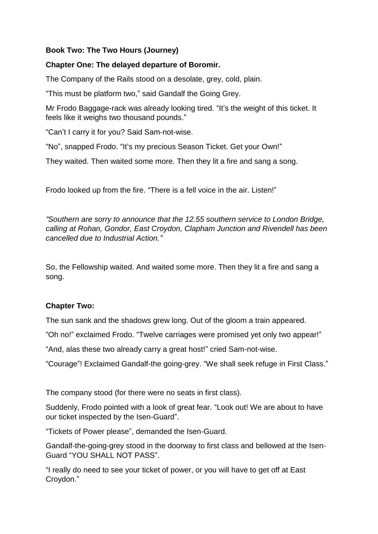# **Book Two: The Two Hours (Journey)**

# **Chapter One: The delayed departure of Boromir.**

The Company of the Rails stood on a desolate, grey, cold, plain.

"This must be platform two," said Gandalf the Going Grey.

Mr Frodo Baggage-rack was already looking tired. "It's the weight of this ticket. It feels like it weighs two thousand pounds."

"Can't I carry it for you? Said Sam-not-wise.

"No", snapped Frodo. "It's my precious Season Ticket. Get your Own!"

They waited. Then waited some more. Then they lit a fire and sang a song.

Frodo looked up from the fire. "There is a fell voice in the air. Listen!"

*"Southern are sorry to announce that the 12.55 southern service to London Bridge, calling at Rohan, Gondor, East Croydon, Clapham Junction and Rivendell has been cancelled due to Industrial Action."*

So, the Fellowship waited. And waited some more. Then they lit a fire and sang a song.

# **Chapter Two:**

The sun sank and the shadows grew long. Out of the gloom a train appeared.

"Oh no!" exclaimed Frodo. "Twelve carriages were promised yet only two appear!"

"And, alas these two already carry a great host!" cried Sam-not-wise.

"Courage"! Exclaimed Gandalf-the going-grey. "We shall seek refuge in First Class."

The company stood (for there were no seats in first class).

Suddenly, Frodo pointed with a look of great fear. "Look out! We are about to have our ticket inspected by the Isen-Guard".

"Tickets of Power please", demanded the Isen-Guard.

Gandalf-the-going-grey stood in the doorway to first class and bellowed at the Isen-Guard "YOU SHALL NOT PASS".

"I really do need to see your ticket of power, or you will have to get off at East Croydon."